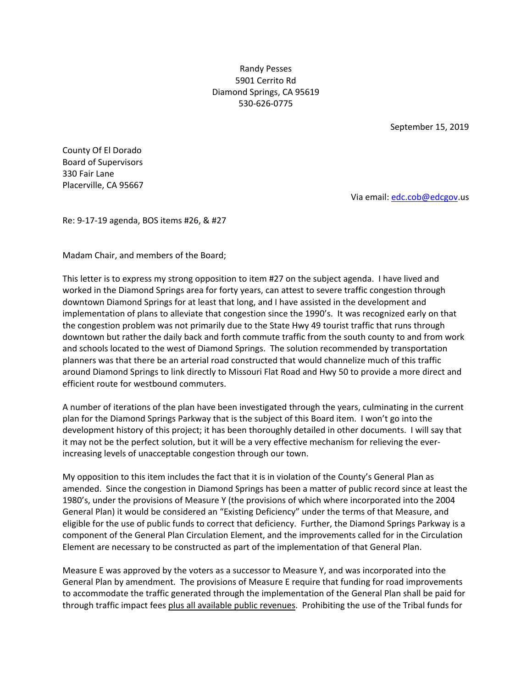Randy Pesses 5901 Cerrito Rd Diamond Springs, CA 95619 530-626-0775

September 15, 2019

County Of El Dorado Board of Supervisors 330 Fair Lane Placerville, CA 95667

Via email: edc.cob@edcgov.us

Re: 9-17-19 agenda, BOS items #26, & #27

Madam Chair, and members of the Board;

This letter is to express my strong opposition to item #27 on the subject agenda. I have lived and worked in the Diamond Springs area for forty years, can attest to severe traffic congestion through downtown Diamond Springs for at least that long, and I have assisted in the development and implementation of plans to alleviate that congestion since the 1990's. It was recognized early on that the congestion problem was not primarily due to the State Hwy 49 tourist traffic that runs through downtown but rather the daily back and forth commute traffic from the south county to and from work and schools located to the west of Diamond Springs. The solution recommended by transportation planners was that there be an arterial road constructed that would channelize much of this traffic around Diamond Springs to link directly to Missouri Flat Road and Hwy 50 to provide a more direct and efficient route for westbound commuters.

A number of iterations of the plan have been investigated through the years, culminating in the current plan for the Diamond Springs Parkway that is the subject of this Board item. I won't go into the development history of this project; it has been thoroughly detailed in other documents. I will say that it may not be the perfect solution, but it will be a very effective mechanism for relieving the everincreasing levels of unacceptable congestion through our town.

My opposition to this item includes the fact that it is in violation of the County's General Plan as amended. Since the congestion in Diamond Springs has been a matter of public record since at least the 1980's, under the provisions of Measure Y (the provisions of which where incorporated into the 2004 General Plan) it would be considered an "Existing Deficiency" under the terms of that Measure, and eligible for the use of public funds to correct that deficiency. Further, the Diamond Springs Parkway is a component of the General Plan Circulation Element, and the improvements called for in the Circulation Element are necessary to be constructed as part of the implementation of that General Plan.

Measure E was approved by the voters as a successor to Measure Y, and was incorporated into the General Plan by amendment. The provisions of Measure E require that funding for road improvements to accommodate the traffic generated through the implementation of the General Plan shall be paid for through traffic impact fees plus all available public revenues. Prohibiting the use of the Tribal funds for